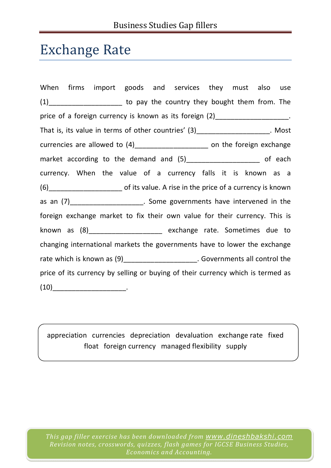## Exchange Rate

When firms import goods and services they must also use (1) to pay the country they bought them from. The price of a foreign currency is known as its foreign (2) The same contact that is set that is not the set of the That is, its value in terms of other countries' (3)\_\_\_\_\_\_\_\_\_\_\_\_\_\_\_\_\_\_\_\_. Most currencies are allowed to  $(4)$  \_\_\_\_\_\_\_\_\_\_\_\_\_\_\_\_\_\_\_\_\_\_\_ on the foreign exchange market according to the demand and (5) market according to the demand and (5) currency. When the value of a currency falls it is known as a (6)\_\_\_\_\_\_\_\_\_\_\_\_\_\_\_\_\_\_\_ of its value. A rise in the price of a currency is known as an  $(7)$  \_\_\_\_\_\_\_\_\_\_\_\_\_\_\_\_\_\_\_\_\_. Some governments have intervened in the foreign exchange market to fix their own value for their currency. This is known as (8)\_\_\_\_\_\_\_\_\_\_\_\_\_\_\_\_\_\_\_ exchange rate. Sometimes due to changing international markets the governments have to lower the exchange rate which is known as  $(9)$ \_\_\_\_\_\_\_\_\_\_\_\_\_\_\_\_\_\_\_. Governments all control the price of its currency by selling or buying of their currency which is termed as  $(10)$  .

appreciation currencies depreciation devaluation exchange rate fixed float foreign currency managed flexibility supply

*This gap filler exercise has been downloaded from www.dineshbakshi.com Revision notes, crosswords, quizzes, flash games for IGCSE Business Studies, Economics and Accounting.*